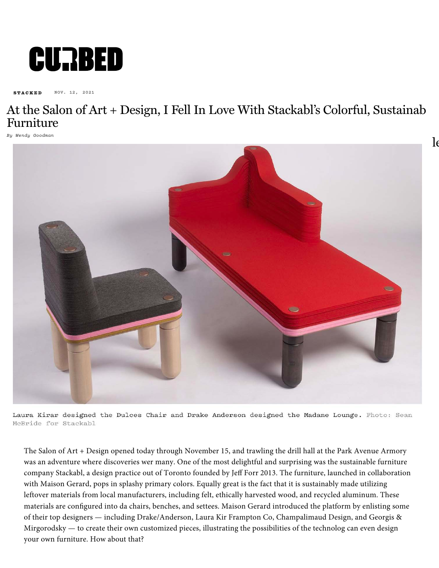

**STACKED** NOV. 12, 2021

## At the Salon of [Art + Design, I Fell In Love With Stackabl's Color](http://insight.adsrvr.org/track/clk?ttd_r=&imp=e6991ef8-f72a-42f8-afe6-66f1be249c71&ag=zd4hlf8&sfe=13ccefdc&sig=Q8bTbNJWj29UHfNcoQLfztvadntlsUWwQ8mLRrEfiyA.&crid=7jk3vv2e&cf=2652097&fq=0&t=1&td_s=www.curbed.com&rcats=hdq&mcat=&mste=curbed.com&mfld=4&mssi=None&mfsi=rtuyb0nnhp&sv=appnexus&uhow=88&agsa=&wp=$%7BPRICE_PAID%7D&rgz=13204&dt=PC&osf=OSX&os=Other&br=Safari&svpid=6894&rlangs=en&mlang=&did=&rcxt=Other&tmpc=10.57&vrtd=&osi=&osv=&daid=&dnr=0&vpb=&c=Cg1Vbml0ZWQgU3RhdGVzEghOZXcgWW9yaxoDNTU1IghTeXJhY3VzZTgBUAGAAQCIAQGQAQA.&dur=CkgKIWNoYXJnZS1hbGxNb2F0Vmlld2FiaWxpdHlUcmFja2luZyIjCKX__________wESDm1vYXQtcmVwb3J0aW5nKgYIoI0GGAw.&durs=i-KOoC&crrelr=&npt=&mk=Apple&mdl=Safari%20-%20OS%20X&adpt=anor&ipl=/172968584/curbed/design-news/culture&ict=CellularNetworkUnknown&said=1808199827061039799&auct=1&us_privacy=1YNY&r=https://www.ddcnyc.com/edra/?utm_source=choozle&utm_medium=display&utm_campaign=edra&utm_content=banner)ful, Sustainab [Furnitu](https://www.curbed.com/tags/stacked/)re

 $\log$ 

*By W[endy Goodman](https://www.curbed.com/author/wendy-goodman/)*



Laura Kirar designed the Dulces Chair and Drake Anderson designed the Madame Lounge. Photo: Sean McBride for Stackabl

The Salon of Art + Design opened today through November 15, and trawling the drill hall at the Park Avenue Armory was an adventure where discoveries wer many. One of the most delightful and surprising was the sustainable furniture company Stackabl, a design practice out of Toronto founded by Jeff Forr 2013. The furniture, launched in collaboration with Maison Gerard, pops in splashy primary colors. Equally great is the fact that it is sustainably made utilizing leftover materials from local manufacturers, including felt, ethically harvested wood, and recycled aluminum. These materials are configured into da chairs, benches, and settees. Maison Gerard introduced the platform by enlisting some of their top designers — including Drake/Anderson, Laura Kir Frampton Co, Champalimaud Design, and Georgis & Mirgorodsky — to create their own customized pieces, illustrating the possibilities of the technolog can even design your own furniture. How about that?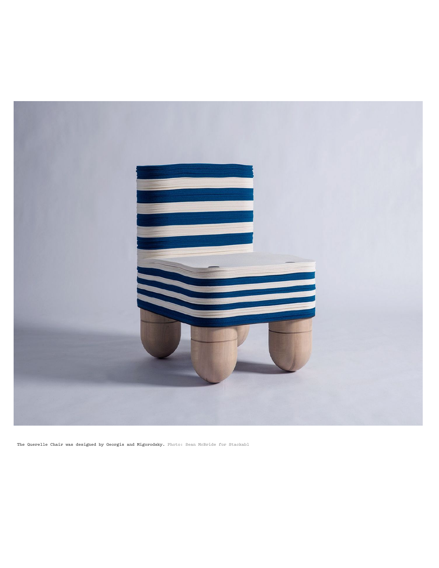

The Querelle Chair was designed by Georgis and Migorodsky. Photo: Sean McBride for Stackabl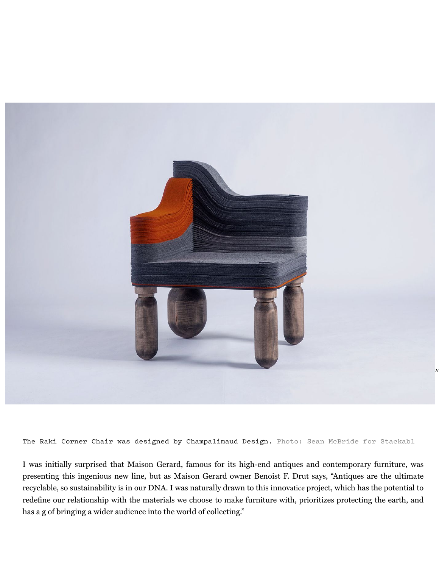

The Raki Corner Chair was designed by Champalimaud Design. Photo: Sean McBride for Stackabl

I was initially surprised that Maison Gerard, famous for its high-end antiques and contemporary furniture, was presenting this ingenious new line, but as Maison Gerard owner Benoist F. Drut says, "Antiques are the ultimate recyclable, so sustainability is in our DNA. I was naturally drawn to this innovatice project, which has the potential to redefine our relationship with the materials we choose to make furniture with, prioritizes protecting the earth, and has a g of bringing a wider audience into the world of collecting."